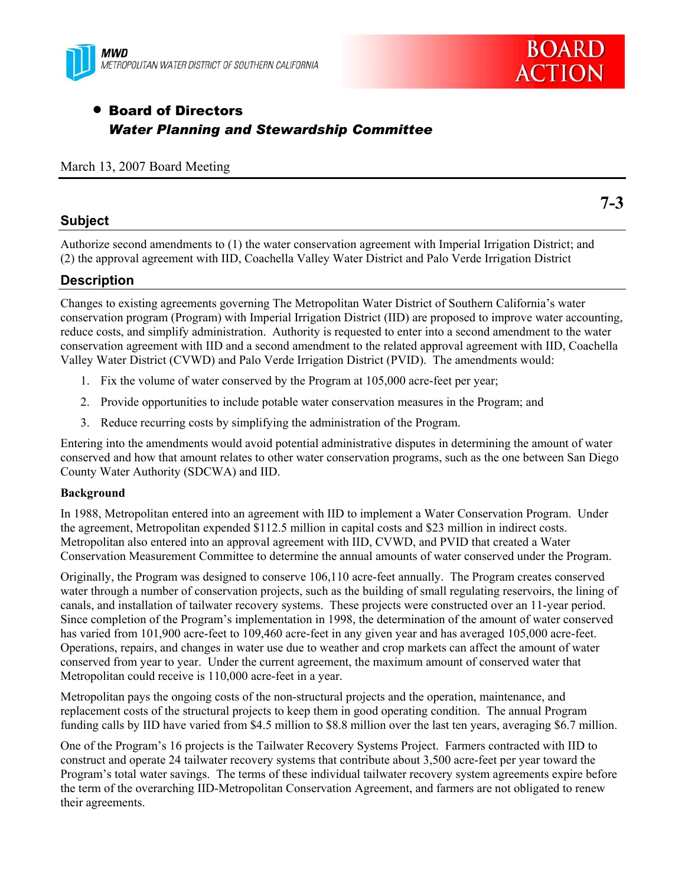



**7-3** 

# • Board of Directors *Water Planning and Stewardship Committee*

### March 13, 2007 Board Meeting

### **Subject**

Authorize second amendments to (1) the water conservation agreement with Imperial Irrigation District; and (2) the approval agreement with IID, Coachella Valley Water District and Palo Verde Irrigation District

### **Description**

Changes to existing agreements governing The Metropolitan Water District of Southern California's water conservation program (Program) with Imperial Irrigation District (IID) are proposed to improve water accounting, reduce costs, and simplify administration. Authority is requested to enter into a second amendment to the water conservation agreement with IID and a second amendment to the related approval agreement with IID, Coachella Valley Water District (CVWD) and Palo Verde Irrigation District (PVID). The amendments would:

- 1. Fix the volume of water conserved by the Program at 105,000 acre-feet per year;
- 2. Provide opportunities to include potable water conservation measures in the Program; and
- 3. Reduce recurring costs by simplifying the administration of the Program.

Entering into the amendments would avoid potential administrative disputes in determining the amount of water conserved and how that amount relates to other water conservation programs, such as the one between San Diego County Water Authority (SDCWA) and IID.

#### **Background**

In 1988, Metropolitan entered into an agreement with IID to implement a Water Conservation Program. Under the agreement, Metropolitan expended \$112.5 million in capital costs and \$23 million in indirect costs. Metropolitan also entered into an approval agreement with IID, CVWD, and PVID that created a Water Conservation Measurement Committee to determine the annual amounts of water conserved under the Program.

Originally, the Program was designed to conserve 106,110 acre-feet annually. The Program creates conserved water through a number of conservation projects, such as the building of small regulating reservoirs, the lining of canals, and installation of tailwater recovery systems. These projects were constructed over an 11-year period. Since completion of the Program's implementation in 1998, the determination of the amount of water conserved has varied from 101,900 acre-feet to 109,460 acre-feet in any given year and has averaged 105,000 acre-feet. Operations, repairs, and changes in water use due to weather and crop markets can affect the amount of water conserved from year to year. Under the current agreement, the maximum amount of conserved water that Metropolitan could receive is 110,000 acre-feet in a year.

Metropolitan pays the ongoing costs of the non-structural projects and the operation, maintenance, and replacement costs of the structural projects to keep them in good operating condition. The annual Program funding calls by IID have varied from \$4.5 million to \$8.8 million over the last ten years, averaging \$6.7 million.

One of the Program's 16 projects is the Tailwater Recovery Systems Project. Farmers contracted with IID to construct and operate 24 tailwater recovery systems that contribute about 3,500 acre-feet per year toward the Program's total water savings. The terms of these individual tailwater recovery system agreements expire before the term of the overarching IID-Metropolitan Conservation Agreement, and farmers are not obligated to renew their agreements.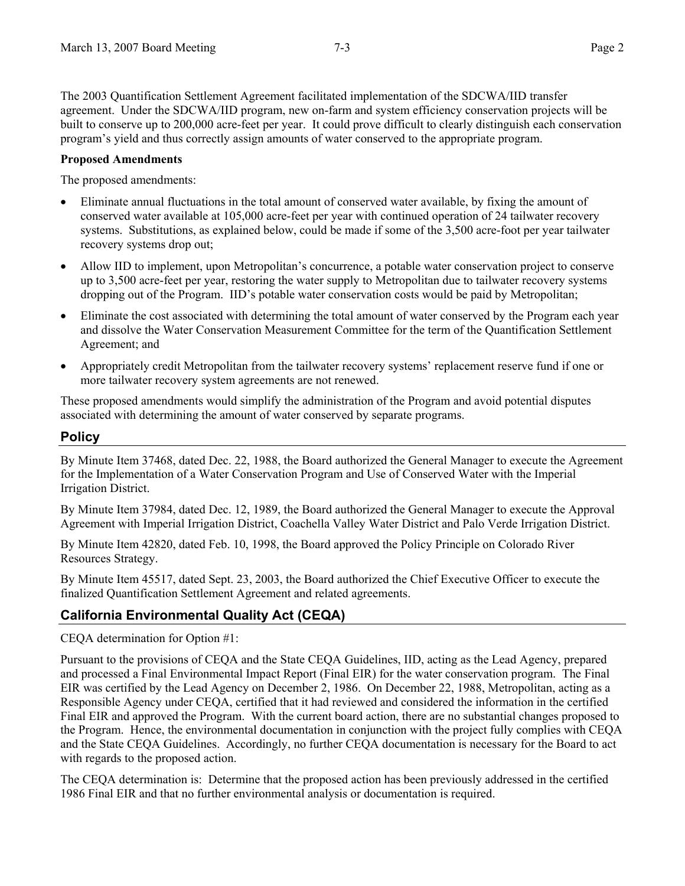The 2003 Quantification Settlement Agreement facilitated implementation of the SDCWA/IID transfer agreement. Under the SDCWA/IID program, new on-farm and system efficiency conservation projects will be built to conserve up to 200,000 acre-feet per year. It could prove difficult to clearly distinguish each conservation program's yield and thus correctly assign amounts of water conserved to the appropriate program.

### **Proposed Amendments**

The proposed amendments:

- Eliminate annual fluctuations in the total amount of conserved water available, by fixing the amount of conserved water available at 105,000 acre-feet per year with continued operation of 24 tailwater recovery systems. Substitutions, as explained below, could be made if some of the 3,500 acre-foot per year tailwater recovery systems drop out;
- Allow IID to implement, upon Metropolitan's concurrence, a potable water conservation project to conserve up to 3,500 acre-feet per year, restoring the water supply to Metropolitan due to tailwater recovery systems dropping out of the Program. IID's potable water conservation costs would be paid by Metropolitan;
- Eliminate the cost associated with determining the total amount of water conserved by the Program each year and dissolve the Water Conservation Measurement Committee for the term of the Quantification Settlement Agreement; and
- Appropriately credit Metropolitan from the tailwater recovery systems' replacement reserve fund if one or more tailwater recovery system agreements are not renewed.

These proposed amendments would simplify the administration of the Program and avoid potential disputes associated with determining the amount of water conserved by separate programs.

## **Policy**

By Minute Item 37468, dated Dec. 22, 1988, the Board authorized the General Manager to execute the Agreement for the Implementation of a Water Conservation Program and Use of Conserved Water with the Imperial Irrigation District.

By Minute Item 37984, dated Dec. 12, 1989, the Board authorized the General Manager to execute the Approval Agreement with Imperial Irrigation District, Coachella Valley Water District and Palo Verde Irrigation District.

By Minute Item 42820, dated Feb. 10, 1998, the Board approved the Policy Principle on Colorado River Resources Strategy.

By Minute Item 45517, dated Sept. 23, 2003, the Board authorized the Chief Executive Officer to execute the finalized Quantification Settlement Agreement and related agreements.

# **California Environmental Quality Act (CEQA)**

CEQA determination for Option #1:

Pursuant to the provisions of CEQA and the State CEQA Guidelines, IID, acting as the Lead Agency, prepared and processed a Final Environmental Impact Report (Final EIR) for the water conservation program. The Final EIR was certified by the Lead Agency on December 2, 1986. On December 22, 1988, Metropolitan, acting as a Responsible Agency under CEQA, certified that it had reviewed and considered the information in the certified Final EIR and approved the Program. With the current board action, there are no substantial changes proposed to the Program. Hence, the environmental documentation in conjunction with the project fully complies with CEQA and the State CEQA Guidelines. Accordingly, no further CEQA documentation is necessary for the Board to act with regards to the proposed action.

The CEQA determination is: Determine that the proposed action has been previously addressed in the certified 1986 Final EIR and that no further environmental analysis or documentation is required.